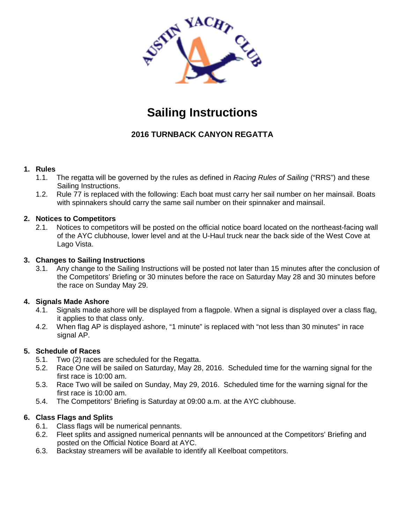

# **Sailing Instructions**

# **2016 TURNBACK CANYON REGATTA**

## **1. Rules**

- 1.1. The regatta will be governed by the rules as defined in *Racing Rules of Sailing* ("RRS") and these Sailing Instructions.
- 1.2. Rule 77 is replaced with the following: Each boat must carry her sail number on her mainsail. Boats with spinnakers should carry the same sail number on their spinnaker and mainsail.

#### **2. Notices to Competitors**

2.1. Notices to competitors will be posted on the official notice board located on the northeast-facing wall of the AYC clubhouse, lower level and at the U-Haul truck near the back side of the West Cove at Lago Vista.

#### **3. Changes to Sailing Instructions**

3.1. Any change to the Sailing Instructions will be posted not later than 15 minutes after the conclusion of the Competitors' Briefing or 30 minutes before the race on Saturday May 28 and 30 minutes before the race on Sunday May 29.

## **4. Signals Made Ashore**

- 4.1. Signals made ashore will be displayed from a flagpole. When a signal is displayed over a class flag, it applies to that class only.
- 4.2. When flag AP is displayed ashore, "1 minute" is replaced with "not less than 30 minutes" in race signal AP.

## **5. Schedule of Races**

- 5.1. Two (2) races are scheduled for the Regatta.
- 5.2. Race One will be sailed on Saturday, May 28, 2016. Scheduled time for the warning signal for the first race is 10:00 am.
- 5.3. Race Two will be sailed on Sunday, May 29, 2016. Scheduled time for the warning signal for the first race is 10:00 am.
- 5.4. The Competitors' Briefing is Saturday at 09:00 a.m. at the AYC clubhouse.

## **6. Class Flags and Splits**

- 6.1. Class flags will be numerical pennants.
- 6.2. Fleet splits and assigned numerical pennants will be announced at the Competitors' Briefing and posted on the Official Notice Board at AYC.
- 6.3. Backstay streamers will be available to identify all Keelboat competitors.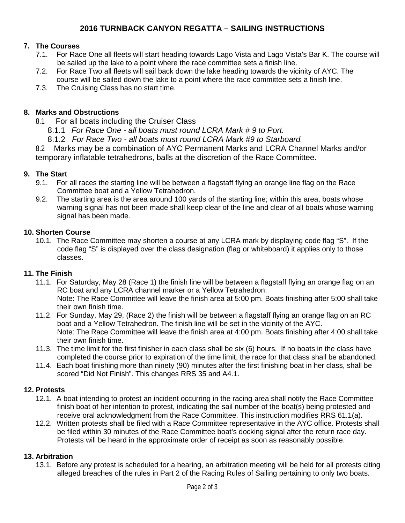# **2016 TURNBACK CANYON REGATTA – SAILING INSTRUCTIONS**

## **7. The Courses**

- 7.1. For Race One all fleets will start heading towards Lago Vista and Lago Vista's Bar K. The course will be sailed up the lake to a point where the race committee sets a finish line.
- 7.2. For Race Two all fleets will sail back down the lake heading towards the vicinity of AYC. The course will be sailed down the lake to a point where the race committee sets a finish line.
- 7.3. The Cruising Class has no start time.

## **8. Marks and Obstructions**

- 8.1 For all boats including the Cruiser Class
	- 8.1.1 *For Race One - all boats must round LCRA Mark # 9 to Port.*
	- 8.1.2 *For Race Two - all boats must round LCRA Mark #9 to Starboard.*

8.2 Marks may be a combination of AYC Permanent Marks and LCRA Channel Marks and/or temporary inflatable tetrahedrons, balls at the discretion of the Race Committee.

#### **9. The Start**

- 9.1. For all races the starting line will be between a flagstaff flying an orange line flag on the Race Committee boat and a Yellow Tetrahedron.
- 9.2. The starting area is the area around 100 yards of the starting line; within this area, boats whose warning signal has not been made shall keep clear of the line and clear of all boats whose warning signal has been made.

#### **10. Shorten Course**

10.1. The Race Committee may shorten a course at any LCRA mark by displaying code flag "S". If the code flag "S" is displayed over the class designation (flag or whiteboard) it applies only to those classes.

#### **11. The Finish**

- 11.1. For Saturday, May 28 (Race 1) the finish line will be between a flagstaff flying an orange flag on an RC boat and any LCRA channel marker or a Yellow Tetrahedron. Note: The Race Committee will leave the finish area at 5:00 pm. Boats finishing after 5:00 shall take their own finish time.
- 11.2. For Sunday, May 29, (Race 2) the finish will be between a flagstaff flying an orange flag on an RC boat and a Yellow Tetrahedron. The finish line will be set in the vicinity of the AYC. Note: The Race Committee will leave the finish area at 4:00 pm. Boats finishing after 4:00 shall take their own finish time.
- 11.3. The time limit for the first finisher in each class shall be six (6) hours. If no boats in the class have completed the course prior to expiration of the time limit, the race for that class shall be abandoned.
- 11.4. Each boat finishing more than ninety (90) minutes after the first finishing boat in her class, shall be scored "Did Not Finish". This changes RRS 35 and A4.1.

#### **12. Protests**

- 12.1. A boat intending to protest an incident occurring in the racing area shall notify the Race Committee finish boat of her intention to protest, indicating the sail number of the boat(s) being protested and receive oral acknowledgment from the Race Committee. This instruction modifies RRS 61.1(a).
- 12.2. Written protests shall be filed with a Race Committee representative in the AYC office. Protests shall be filed within 30 minutes of the Race Committee boat's docking signal after the return race day. Protests will be heard in the approximate order of receipt as soon as reasonably possible.

#### **13. Arbitration**

13.1. Before any protest is scheduled for a hearing, an arbitration meeting will be held for all protests citing alleged breaches of the rules in Part 2 of the Racing Rules of Sailing pertaining to only two boats.